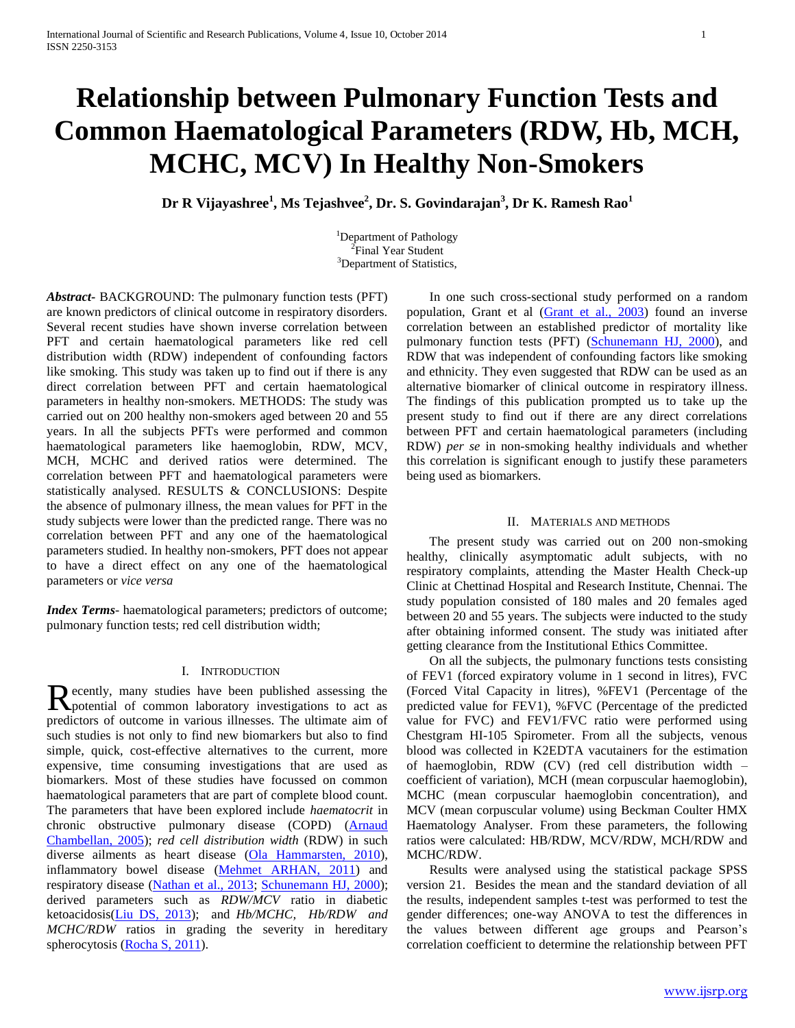# **Relationship between Pulmonary Function Tests and Common Haematological Parameters (RDW, Hb, MCH, MCHC, MCV) In Healthy Non-Smokers**

**Dr R Vijayashree<sup>1</sup> , Ms Tejashvee<sup>2</sup> , Dr. S. Govindarajan<sup>3</sup> , Dr K. Ramesh Rao<sup>1</sup>**

<sup>1</sup>Department of Pathology <sup>2</sup>Final Year Student <sup>3</sup>Department of Statistics,

*Abstract***-** BACKGROUND: The pulmonary function tests (PFT) are known predictors of clinical outcome in respiratory disorders. Several recent studies have shown inverse correlation between PFT and certain haematological parameters like red cell distribution width (RDW) independent of confounding factors like smoking. This study was taken up to find out if there is any direct correlation between PFT and certain haematological parameters in healthy non-smokers. METHODS: The study was carried out on 200 healthy non-smokers aged between 20 and 55 years. In all the subjects PFTs were performed and common haematological parameters like haemoglobin, RDW, MCV, MCH, MCHC and derived ratios were determined. The correlation between PFT and haematological parameters were statistically analysed. RESULTS & CONCLUSIONS: Despite the absence of pulmonary illness, the mean values for PFT in the study subjects were lower than the predicted range. There was no correlation between PFT and any one of the haematological parameters studied. In healthy non-smokers, PFT does not appear to have a direct effect on any one of the haematological parameters or *vice versa*

*Index Terms*- haematological parameters; predictors of outcome; pulmonary function tests; red cell distribution width;

# I. INTRODUCTION

ecently, many studies have been published assessing the Recently, many studies have been published assessing the potential of common laboratory investigations to act as predictors of outcome in various illnesses. The ultimate aim of such studies is not only to find new biomarkers but also to find simple, quick, cost-effective alternatives to the current, more expensive, time consuming investigations that are used as biomarkers. Most of these studies have focussed on common haematological parameters that are part of complete blood count. The parameters that have been explored include *haematocrit* in chronic obstructive pulmonary disease (COPD) (Arnaud Chambellan, 2005); *red cell distribution width* (RDW) in such diverse ailments as heart disease (Ola Hammarsten, 2010), inflammatory bowel disease (Mehmet ARHAN, 2011) and respiratory disease (Nathan et al., 2013; Schunemann HJ, 2000); derived parameters such as *RDW/MCV* ratio in diabetic ketoacidosis(Liu DS, 2013); and *Hb/MCHC, Hb/RDW and MCHC/RDW* ratios in grading the severity in hereditary spherocytosis (Rocha S, 2011).

 In one such cross-sectional study performed on a random population, Grant et al (Grant et al., 2003) found an inverse correlation between an established predictor of mortality like pulmonary function tests (PFT) (Schunemann HJ, 2000), and RDW that was independent of confounding factors like smoking and ethnicity. They even suggested that RDW can be used as an alternative biomarker of clinical outcome in respiratory illness. The findings of this publication prompted us to take up the present study to find out if there are any direct correlations between PFT and certain haematological parameters (including RDW) *per se* in non-smoking healthy individuals and whether this correlation is significant enough to justify these parameters being used as biomarkers.

# II. MATERIALS AND METHODS

 The present study was carried out on 200 non-smoking healthy, clinically asymptomatic adult subjects, with no respiratory complaints, attending the Master Health Check-up Clinic at Chettinad Hospital and Research Institute, Chennai. The study population consisted of 180 males and 20 females aged between 20 and 55 years. The subjects were inducted to the study after obtaining informed consent. The study was initiated after getting clearance from the Institutional Ethics Committee.

 On all the subjects, the pulmonary functions tests consisting of FEV1 (forced expiratory volume in 1 second in litres), FVC (Forced Vital Capacity in litres), %FEV1 (Percentage of the predicted value for FEV1), %FVC (Percentage of the predicted value for FVC) and FEV1/FVC ratio were performed using Chestgram HI-105 Spirometer. From all the subjects, venous blood was collected in K2EDTA vacutainers for the estimation of haemoglobin, RDW (CV) (red cell distribution width – coefficient of variation), MCH (mean corpuscular haemoglobin), MCHC (mean corpuscular haemoglobin concentration), and MCV (mean corpuscular volume) using Beckman Coulter HMX Haematology Analyser. From these parameters, the following ratios were calculated: HB/RDW, MCV/RDW, MCH/RDW and MCHC/RDW.

 Results were analysed using the statistical package SPSS version 21. Besides the mean and the standard deviation of all the results, independent samples t-test was performed to test the gender differences; one-way ANOVA to test the differences in the values between different age groups and Pearson's correlation coefficient to determine the relationship between PFT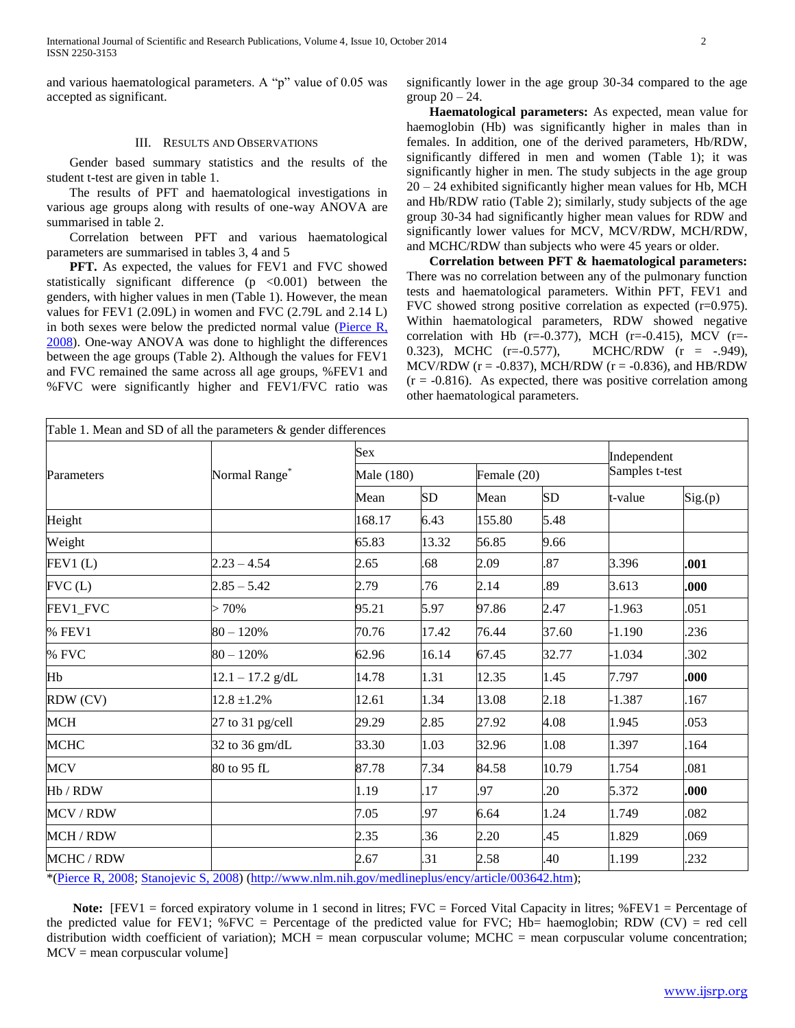and various haematological parameters. A "p" value of 0.05 was accepted as significant.

#### III. RESULTS AND OBSERVATIONS

 Gender based summary statistics and the results of the student t-test are given in table 1.

 The results of PFT and haematological investigations in various age groups along with results of one-way ANOVA are summarised in table 2.

 Correlation between PFT and various haematological parameters are summarised in tables 3, 4 and 5

 **PFT.** As expected, the values for FEV1 and FVC showed statistically significant difference  $(p \lt 0.001)$  between the genders, with higher values in men (Table 1). However, the mean values for FEV1 (2.09L) in women and FVC (2.79L and 2.14 L) in both sexes were below the predicted normal value ( $P$ ierce  $R$ , 2008). One-way ANOVA was done to highlight the differences between the age groups (Table 2). Although the values for FEV1 and FVC remained the same across all age groups, %FEV1 and %FVC were significantly higher and FEV1/FVC ratio was significantly lower in the age group 30-34 compared to the age group  $20 - 24$ .

 **Haematological parameters:** As expected, mean value for haemoglobin (Hb) was significantly higher in males than in females. In addition, one of the derived parameters, Hb/RDW, significantly differed in men and women (Table 1); it was significantly higher in men. The study subjects in the age group 20 – 24 exhibited significantly higher mean values for Hb, MCH and Hb/RDW ratio (Table 2); similarly, study subjects of the age group 30-34 had significantly higher mean values for RDW and significantly lower values for MCV, MCV/RDW, MCH/RDW, and MCHC/RDW than subjects who were 45 years or older.

 **Correlation between PFT & haematological parameters:** There was no correlation between any of the pulmonary function tests and haematological parameters. Within PFT, FEV1 and FVC showed strong positive correlation as expected (r=0.975). Within haematological parameters, RDW showed negative correlation with Hb (r=-0.377), MCH (r=-0.415), MCV (r=-0.323), MCHC (r=-0.577), MCHC/RDW (r = -.949), MCV/RDW ( $r = -0.837$ ), MCH/RDW ( $r = -0.836$ ), and HB/RDW  $(r = -0.816)$ . As expected, there was positive correlation among other haematological parameters.

| Parameters     |                           | Sex.       |       |             |           |                               |        |  |  |
|----------------|---------------------------|------------|-------|-------------|-----------|-------------------------------|--------|--|--|
|                | Normal Range <sup>*</sup> | Male (180) |       | Female (20) |           | Independent<br>Samples t-test |        |  |  |
|                |                           | Mean       | SD    | Mean        | <b>SD</b> | t-value                       | Sig(p) |  |  |
| Height         |                           | 168.17     | 6.43  | 155.80      | 5.48      |                               |        |  |  |
| Weight         |                           | 65.83      | 13.32 | 56.85       | 9.66      |                               |        |  |  |
| FEV1(L)        | $2.23 - 4.54$             | 2.65       | .68   | 2.09        | .87       | 3.396                         | .001   |  |  |
| FVC(L)         | $2.85 - 5.42$             | 2.79       | .76   | 2.14        | .89       | 3.613                         | .000   |  |  |
| FEV1 FVC       | $>70\%$                   | 95.21      | 5.97  | 97.86       | 2.47      | $-1.963$                      | .051   |  |  |
| % FEV1         | $80 - 120%$               | 70.76      | 17.42 | 76.44       | 37.60     | $-1.190$                      | .236   |  |  |
| % FVC          | $80 - 120%$               | 62.96      | 16.14 | 67.45       | 32.77     | $-1.034$                      | 302    |  |  |
| Hb             | $12.1 - 17.2$ g/dL        | 14.78      | 1.31  | 12.35       | 1.45      | 7.797                         | .000   |  |  |
| RDW (CV)       | $12.8 \pm 1.2\%$          | 12.61      | 1.34  | 13.08       | 2.18      | $-1.387$                      | 167    |  |  |
| MCH            | 27 to 31 pg/cell          | 29.29      | 2.85  | 27.92       | 4.08      | 1.945                         | .053   |  |  |
| <b>MCHC</b>    | 32 to 36 gm/dL            | 33.30      | 1.03  | 32.96       | 1.08      | 1.397                         | 164    |  |  |
| <b>MCV</b>     | 80 to 95 fL               | 87.78      | 7.34  | 84.58       | 10.79     | 1.754                         | .081   |  |  |
| Hb / RDW       |                           | 1.19       | 17    | .97         | .20       | 5.372                         | .000   |  |  |
| <b>MCV/RDW</b> |                           | 7.05       | .97   | 6.64        | 1.24      | 1.749                         | .082   |  |  |
| MCH / RDW      |                           | 2.35       | .36   | 2.20        | 45        | 1.829                         | .069   |  |  |
| MCHC / RDW     |                           | 2.67       | 31    | 2.58        | 40        | 1.199                         | .232   |  |  |

(Pierce R, 2008; Stanojevic S, 2008) [\(http://www.nlm.nih.gov/medlineplus/ency/article/003642.htm\)](http://www.nlm.nih.gov/medlineplus/ency/article/003642.htm);

**Note:**  $[FEV1 = forced \text{ expiratory volume in 1 second in litres; FVC = forced Vital Capacity in litres; % FEV1 = Percentage of$ the predicted value for FEV1;  $\%$  FVC = Percentage of the predicted value for FVC; Hb= haemoglobin; RDW (CV) = red cell distribution width coefficient of variation); MCH = mean corpuscular volume; MCHC = mean corpuscular volume concentration;  $MCV$  = mean corpuscular volume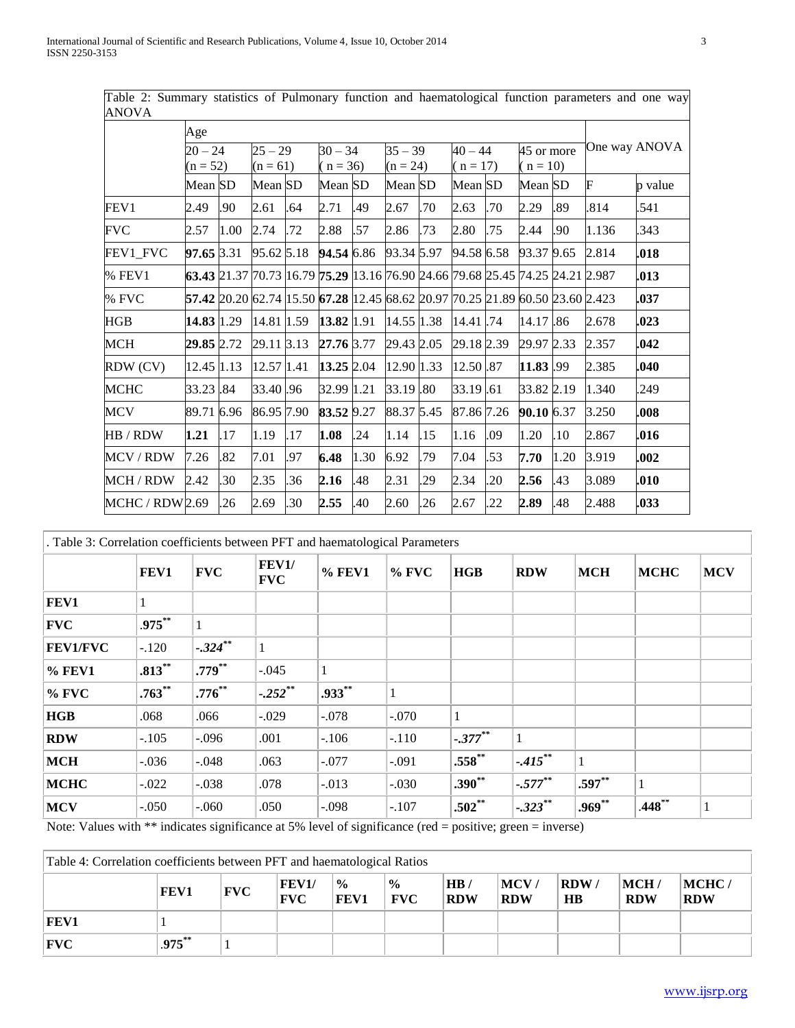| AINU V A        |            |      |            |     |                                                                               |           |            |           |            |           |            |            |               |         |
|-----------------|------------|------|------------|-----|-------------------------------------------------------------------------------|-----------|------------|-----------|------------|-----------|------------|------------|---------------|---------|
|                 | Age        |      |            |     |                                                                               |           |            |           |            |           |            |            |               |         |
|                 | $20 - 24$  |      | $25 - 29$  |     |                                                                               | $30 - 34$ |            | $35 - 39$ |            | $40 - 44$ |            | 45 or more | One way ANOVA |         |
|                 | $(n = 52)$ |      | $(n = 61)$ |     | $(n = 36)$                                                                    |           | $(n = 24)$ |           | $(n = 17)$ |           | $(n = 10)$ |            |               |         |
|                 | Mean SD    |      | Mean SD    |     | Mean SD                                                                       |           | Mean SD    |           | Mean SD    |           | Mean SD    |            | F             | p value |
| FEV1            | 2.49       | .90  | 2.61       | .64 | 2.71                                                                          | .49       | 2.67       | .70       | 2.63       | .70       | 2.29       | .89        | .814          | .541    |
| <b>FVC</b>      | 2.57       | 1.00 | 2.74       | .72 | 2.88                                                                          | .57       | 2.86       | .73       | 2.80       | .75       | 2.44       | .90        | 1.136         | .343    |
| FEV1_FVC        | 97.65 3.31 |      | 95.62 5.18 |     | 94.54 6.86                                                                    |           | 93.34 5.97 |           | 94.58 6.58 |           | 93.37 9.65 |            | 2.814         | .018    |
| % FEV1          |            |      |            |     | 63.43 21.37 70.73 16.79 75.29 13.16 76.90 24.66 79.68 25.45 74.25 24.21 2.987 |           |            |           |            |           |            |            |               | .013    |
| % FVC           |            |      |            |     | 57.42 20.20 62.74 15.50 67.28 12.45 68.62 20.97 70.25 21.89 60.50 23.60 2.423 |           |            |           |            |           |            |            |               | .037    |
| HGB             | 14.83 1.29 |      | 14.81 1.59 |     | 13.82 1.91                                                                    |           | 14.55 1.38 |           | 14.41.74   |           | 14.17.86   |            | 2.678         | .023    |
| MCH             | 29.85 2.72 |      | 29.11 3.13 |     | 27.76 3.77                                                                    |           | 29.43 2.05 |           | 29.18 2.39 |           | 29.97 2.33 |            | 2.357         | .042    |
| RDW (CV)        | 12.45 1.13 |      | 12.57 1.41 |     | 13.25 2.04                                                                    |           | 12.90 1.33 |           | 12.50 .87  |           | 11.83.99   |            | 2.385         | .040    |
| <b>MCHC</b>     | 33.23 .84  |      | 33.40.96   |     | 32.99 1.21                                                                    |           | 33.19 .80  |           | 33.19.61   |           | 33.82 2.19 |            | 1.340         | .249    |
| <b>MCV</b>      | 89.71 6.96 |      | 86.95 7.90 |     | 83.52 9.27                                                                    |           | 88.37 5.45 |           | 87.86 7.26 |           | 90.10 6.37 |            | 3.250         | .008    |
| HB / RDW        | 1.21       | .17  | 1.19       | .17 | 1.08                                                                          | .24       | 1.14       | .15       | 1.16       | .09       | 1.20       | .10        | 2.867         | .016    |
| MCV / RDW       | 7.26       | .82  | 7.01       | .97 | 6.48                                                                          | 1.30      | 6.92       | .79       | 7.04       | .53       | 7.70       | 1.20       | 3.919         | .002    |
| MCH / RDW       | 2.42       | .30  | 2.35       | .36 | 2.16                                                                          | .48       | 2.31       | .29       | 2.34       | .20       | 2.56       | .43        | 3.089         | .010    |
| MCHC / RDW 2.69 |            | .26  | 2.69       | .30 | 2.55                                                                          | .40       | 2.60       | 26        | 2.67       | .22       | 2.89       | .48        | 2.488         | .033    |

Table 2: Summary statistics of Pulmonary function and haematological function parameters and one way ANOVA

| . Table 3: Correlation coefficients between PFT and haematological Parameters |             |            |                            |           |              |             |            |            |             |            |  |
|-------------------------------------------------------------------------------|-------------|------------|----------------------------|-----------|--------------|-------------|------------|------------|-------------|------------|--|
|                                                                               | FEV1        | <b>FVC</b> | <b>FEV1/</b><br><b>FVC</b> | $%$ FEV1  | $%$ FVC      | HGB         | <b>RDW</b> | <b>MCH</b> | <b>MCHC</b> | <b>MCV</b> |  |
| FEV1                                                                          |             |            |                            |           |              |             |            |            |             |            |  |
| <b>FVC</b>                                                                    | $.975***$   |            |                            |           |              |             |            |            |             |            |  |
| <b>FEV1/FVC</b>                                                               | $-.120$     | $-.324***$ |                            |           |              |             |            |            |             |            |  |
| % FEV1                                                                        | $.813***$   | $.779**$   | $-.045$                    |           |              |             |            |            |             |            |  |
| $%$ FVC                                                                       | $.763^{**}$ | $.776***$  | $-.252***$                 | $.933***$ | $\mathbf{1}$ |             |            |            |             |            |  |
| <b>HGB</b>                                                                    | .068        | .066       | $-.029$                    | $-.078$   | $-.070$      |             |            |            |             |            |  |
| <b>RDW</b>                                                                    | $-.105$     | $-.096$    | .001                       | $-.106$   | $-.110$      | $-377**$    |            |            |             |            |  |
| <b>MCH</b>                                                                    | $-.036$     | $-.048$    | .063                       | $-.077$   | $-.091$      | $.558^{**}$ | $-.415***$ |            |             |            |  |
| <b>MCHC</b>                                                                   | $-.022$     | $-.038$    | .078                       | $-0.013$  | $-.030$      | $.390**$    | $-.577***$ | $.597**$   |             |            |  |
| <b>MCV</b>                                                                    | $-.050$     | $-.060$    | .050                       | $-.098$   | $-.107$      | $.502**$    | $-.323**$  | $.969**$   | .448        | 1          |  |

Note: Values with \*\* indicates significance at 5% level of significance (red = positive; green = inverse)

| Table 4: Correlation coefficients between PFT and haematological Ratios |           |            |                            |                               |                             |                   |                             |                   |                             |                     |
|-------------------------------------------------------------------------|-----------|------------|----------------------------|-------------------------------|-----------------------------|-------------------|-----------------------------|-------------------|-----------------------------|---------------------|
|                                                                         | FEV1      | <b>FVC</b> | <b>FEV1/</b><br><b>FVC</b> | $\frac{6}{10}$<br><b>FEV1</b> | $\frac{1}{2}$<br><b>FVC</b> | HB/<br><b>RDW</b> | $\vert$ MCV /<br><b>RDW</b> | <b>RDW/</b><br>HB | $\vert$ MCH /<br><b>RDW</b> | MCHC/<br><b>RDW</b> |
| <b>FEV1</b>                                                             |           |            |                            |                               |                             |                   |                             |                   |                             |                     |
| $ {\rm FVC} $                                                           | $.975***$ |            |                            |                               |                             |                   |                             |                   |                             |                     |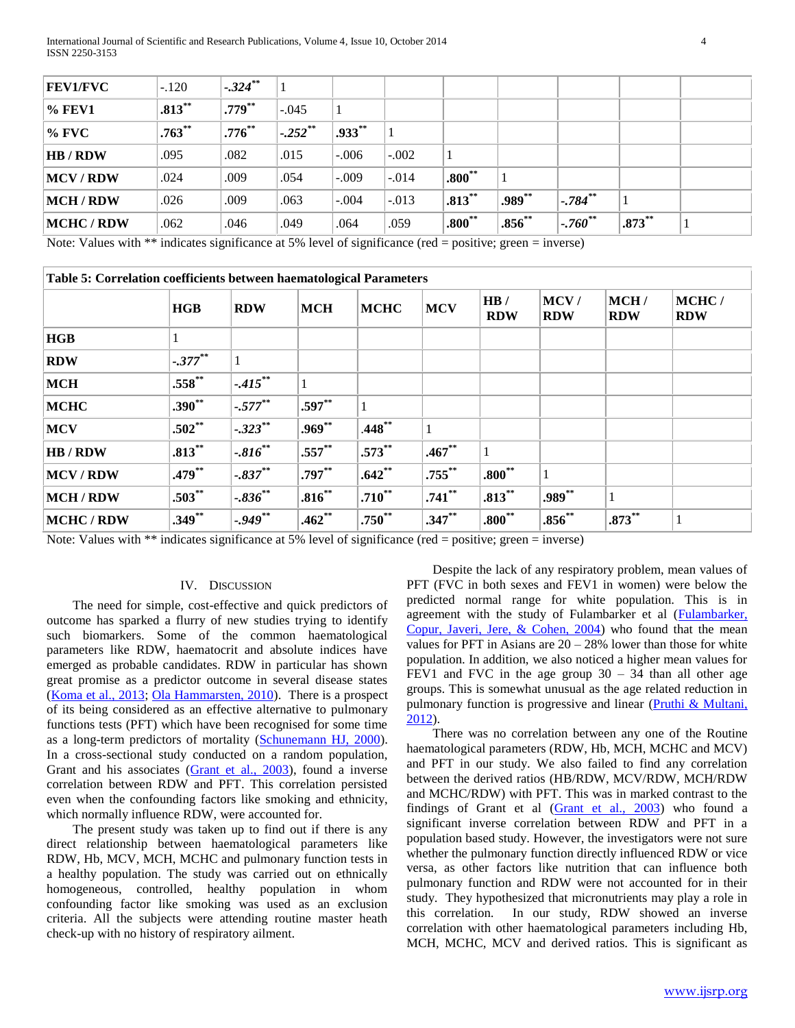| <b>FEV1/FVC</b> | $-.120$     | $-.324***$ |                        |           |         |           |          |                        |          |  |
|-----------------|-------------|------------|------------------------|-----------|---------|-----------|----------|------------------------|----------|--|
| $\%$ FEV1       | $.813***$   | $.779***$  | $-.045$                |           |         |           |          |                        |          |  |
| $\%$ FVC        | $.763^{**}$ | $.776***$  | $-0.252$ <sup>**</sup> | $.933***$ |         |           |          |                        |          |  |
| <b>HB</b> / RDW | .095        | .082       | .015                   | $-.006$   | $-.002$ |           |          |                        |          |  |
| MCV/RDW         | .024        | .009       | .054                   | $-.009$   | $-.014$ | $.800**$  |          |                        |          |  |
| MCH / RDW       | .026        | .009       | .063                   | $-.004$   | $-.013$ | $.813***$ | .989**   | $-784$ <sup>**</sup>   |          |  |
| MCHC / RDW      | .062        | .046       | .049                   | .064      | .059    | $.800**$  | $.856**$ | $-0.760$ <sup>**</sup> | $.873**$ |  |

Note: Values with \*\* indicates significance at 5% level of significance (red = positive; green = inverse)

| Table 5: Correlation coefficients between haematological Parameters |            |             |            |             |            |                   |                    |                    |                     |
|---------------------------------------------------------------------|------------|-------------|------------|-------------|------------|-------------------|--------------------|--------------------|---------------------|
|                                                                     | <b>HGB</b> | <b>RDW</b>  | <b>MCH</b> | <b>MCHC</b> | <b>MCV</b> | HB/<br><b>RDW</b> | MCV/<br><b>RDW</b> | MCH/<br><b>RDW</b> | MCHC/<br><b>RDW</b> |
| HGB                                                                 |            |             |            |             |            |                   |                    |                    |                     |
| <b>RDW</b>                                                          | $-.377***$ |             |            |             |            |                   |                    |                    |                     |
| <b>MCH</b>                                                          | $.558***$  | $-.415***$  |            |             |            |                   |                    |                    |                     |
| <b>MCHC</b>                                                         | $.390**$   | $-.577***$  | $.597**$   |             |            |                   |                    |                    |                     |
| <b>MCV</b>                                                          | $.502**$   | $-.323***$  | $.969**$   | $.448**$    |            |                   |                    |                    |                     |
| <b>HB</b> / RDW                                                     | $.813***$  | $-.816***$  | $.557**$   | $.573**$    | $.467**$   |                   |                    |                    |                     |
| MCV/RDW                                                             | $.479**$   | $-.837***$  | $.797**$   | $.642**$    | $.755***$  | $.800**$          | 1                  |                    |                     |
| <b>MCH/RDW</b>                                                      | $.503**$   | $-.836***$  | $.816***$  | $.710^{**}$ | $.741**$   | $.813***$         | $.989**$           |                    |                     |
| <b>MCHC/RDW</b>                                                     | $.349**$   | $-0.949$ ** | $.462**$   | $.750^{**}$ | $.347**$   | $.800^{**}$       | $.856**$           | $.873***$          | 1                   |

**Table 5: Correlation coefficients between haematological Parameters**

Note: Values with \*\* indicates significance at 5% level of significance (red = positive; green = inverse)

# IV. DISCUSSION

The need for simple, cost-effective and quick predictors of outcome has sparked a flurry of new studies trying to identify such biomarkers. Some of the common haematological parameters like RDW, haematocrit and absolute indices have emerged as probable candidates. RDW in particular has shown great promise as a predictor outcome in several disease states (Koma et al., 2013; Ola Hammarsten, 2010). There is a prospect of its being considered as an effective alternative to pulmonary functions tests (PFT) which have been recognised for some time as a long-term predictors of mortality (Schunemann HJ, 2000). In a cross-sectional study conducted on a random population, Grant and his associates (Grant et al., 2003), found a inverse correlation between RDW and PFT. This correlation persisted even when the confounding factors like smoking and ethnicity, which normally influence RDW, were accounted for.

The present study was taken up to find out if there is any direct relationship between haematological parameters like RDW, Hb, MCV, MCH, MCHC and pulmonary function tests in a healthy population. The study was carried out on ethnically homogeneous, controlled, healthy population in whom confounding factor like smoking was used as an exclusion criteria. All the subjects were attending routine master heath check-up with no history of respiratory ailment.

Despite the lack of any respiratory problem, mean values of PFT (FVC in both sexes and FEV1 in women) were below the predicted normal range for white population. This is in agreement with the study of Fulambarker et al (Fulambarker, Copur, Javeri, Jere, & Cohen, 2004) who found that the mean values for PFT in Asians are  $20 - 28%$  lower than those for white population. In addition, we also noticed a higher mean values for FEV1 and FVC in the age group  $30 - 34$  than all other age groups. This is somewhat unusual as the age related reduction in pulmonary function is progressive and linear (Pruthi & Multani, 2012).

There was no correlation between any one of the Routine haematological parameters (RDW, Hb, MCH, MCHC and MCV) and PFT in our study. We also failed to find any correlation between the derived ratios (HB/RDW, MCV/RDW, MCH/RDW and MCHC/RDW) with PFT. This was in marked contrast to the findings of Grant et al (Grant et al., 2003) who found a significant inverse correlation between RDW and PFT in a population based study. However, the investigators were not sure whether the pulmonary function directly influenced RDW or vice versa, as other factors like nutrition that can influence both pulmonary function and RDW were not accounted for in their study. They hypothesized that micronutrients may play a role in this correlation. In our study, RDW showed an inverse correlation with other haematological parameters including Hb, MCH, MCHC, MCV and derived ratios. This is significant as